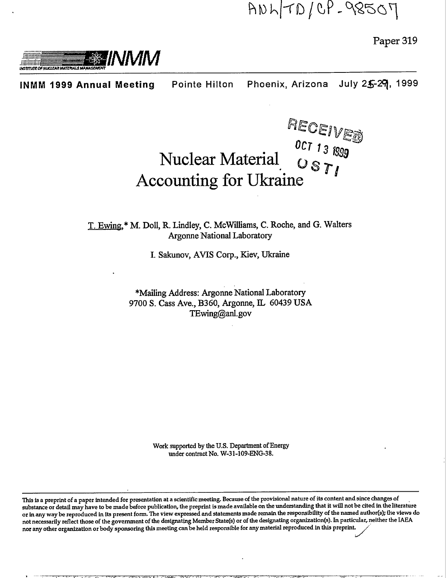Paper 319



Phoenix, Arizona July 25-29, 1999 **Pointe Hilton INMM 1999 Annual Meeting** 

# **RECEIVED**<br>Nuclear Material  $\begin{array}{c} 0 \text{C} \text{T} \text{13 R99} \\ 0 \text{S} \text{T} \text{J} \end{array}$ **Accounting for Ukraine**

T. Ewing,\* M. Doll, R. Lindley, C. McWilliams, C. Roche, and G. Walters **Argonne National Laboratory** 

I. Sakunov, AVIS Corp., Kiev, Ukraine

\*Mailing Address: Argonne National Laboratory 9700 S. Cass Ave., B360, Argonne, IL 60439 USA TEwing@anl.gov

> Work supported by the U.S. Department of Energy under contract No. W-31-109-ENG-38.

This is a preprint of a paper intended for presentation at a scientific meeting. Because of the provisional nature of its content and since changes of substance or detail may have to be made before publication, the preprint is made available on the understanding that it will not be cited in the literature or in any way be reproduced in its present form. The view expressed and statements made remain the responsibility of the named author(s); the views do not necessarily reflect those of the government of the designating Member State(s) or of the designating organization(s). In particular, neither the IAEA nor any other organization or body sponsoring this meeting can be held responsible for any material reproduced in this preprint.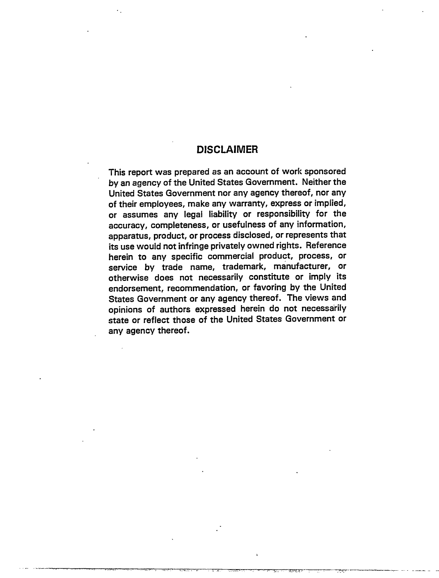#### **DISCLAIMER**

This report was prepared as an account of work sponsored by an agency of the United States Government. Neither the United States Government nor any agency thereof, nor any of their employees, make any warranty, express or implied, or assumes any legal liability or responsibility for the accuracy, completeness, or usefulness of any information, apparatus, product, or process disclosed, or represents that its use would not infringe privately owned rights. Reference herein to any specific commercial product, process, or service by trade name, trademark, manufacturer, or otherwise does not necessarily constitute or imply its endorsement, recommendation, or favoring by the United States Government or any agency thereof. The views and opinions of authors expressed herein do not necessarily state or reflect those of the United States Government or any agency thereof.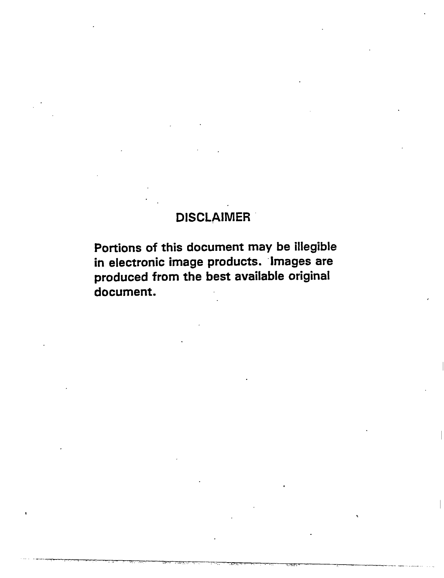## DISCLAIMER

Portions of this document may be illegible in electronic image products. Images are produced from the best available original document.

... ,....,,., ... .,.-.. ... , -., . ,,".,,~ , --,, ,,,. .,,

,,

,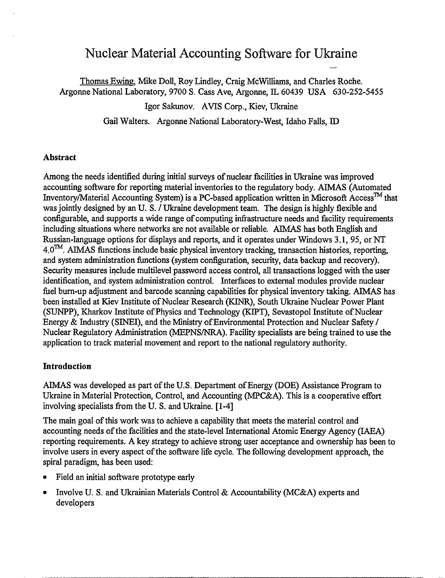### Nuclear Material Accounting Software for Ukraine

—

Thomas Ewing, Mike Doll, Roy Lindley, Craig McWilliams, and Charles Roche. Argonne National Laboratory, 9700 S. Cass Ave, Argonne, IL 60439 USA 630-252-5455

Igor Sakunov. AVIS Corp., Kiev, Ukraine

Gail Walters. Argonne National Laboratory-West, Idaho Falls, ID

#### **Abstract**

Among the needs identified during initial surveys of nuclear facilities in Ukraine was improved accounting software for reporting material inventories to the regulatory body. AIMAS (Automated Inventory/Material Accounting System) is a PC-based application written in Microsoft Access<sup>TM</sup> that was jointly designed by an U. S. / Ukraine development team. The design is highly flexible and configurable, and supports a wide range of computing infrastructure needs and facility requirements including situations where networks are not available or reliable. AIMAS has both English and Russian-language options for displays and reports, and it operates under Windows 3.1,95, or NT  $4.0<sup>TM</sup>$ . AIMAS functions include basic physical inventory tracking, transaction histories, reporting, and system administration functions (system configuration, security, data backup and recovery). Security measures include multilevel password access control, all transactions logged with the user identification, and system administration control. Interfaces to external modules provide nuclear fuel burn-up adjustment and barcode scanning capabilities for physical inventory taking. AIMAS has been installed at Kiev Institute of Nuclear Research (KINR), South Ukraine Nuclear Power Plant (SUNPP), Kharkov Institute of Physics and Technology (KIPT), Sevastopol Institute of Nuclear Energy & Industry (SINEI), and the Ministry of Environmental Protection and Nuclear Safety/ Nuclear Regulatory Administration (MEPNS/NRA). Facility specialists are being trained to use the application to track material movement and report to the national regulatory authority.

#### **Introduction**

AIMAS was developed as part of the U.S. Department of Energy (DOE) Assistance Program to Ukraine in Material Protection, Control, and Accounting (MPC&A). This is a cooperative effort involving specialists from the U. S. and Ukraine. **[1-4]**

The main goal of this work was to achieve a capability that meets the material control and accounting needs of the facilities and the state-level International Atomic Energy Agency (IAEA) reporting requirements. A key strategy to achieve strong user acceptance and ownership has been to involve users in every aspect of the software life cycle. The following development approach, the spiral paradigm, has been used:

- . Field an initial software prototype early
- Involve U. S. and Ukrainian Materials Control & Accountability (MC&A) experts and developers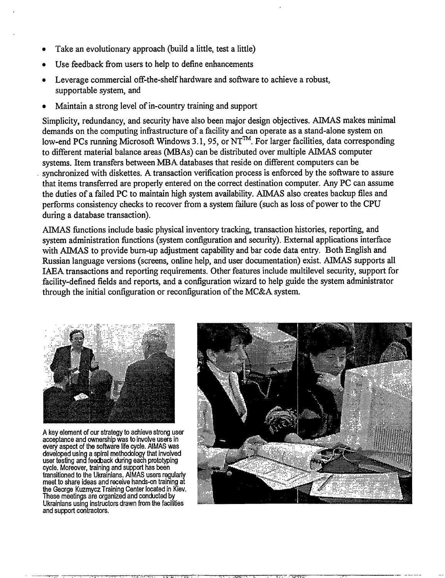- . Take an evolutionary approach (build a little, test a little)
- . Use feedback from users to help to define enhancements
- . Leverage commercial off-the-shelf hardware and software to achieve a robust, supportable system, and
- . Maintain a strong level of in-country training and support

Simplicity, redundancy, and security have also been major design objectives. AIMAS makes minimal demands on the computing infrastructure of a facility and can operate as a stand-alone system on low-end PCs running Microsoft Windows 3.1, 95, or NT<sup>TM</sup>. For larger facilities, data corresponding to different material balance areas (MBAs) can be distributed over multiple AIMAS computer systems. Item transfers between MBA databases that reside on different computers can be synchronized with diskettes. A transaction verification process is enforced by the software to assure that items transferred are properly entered on the correct destination computer. Any PC can assume the duties of a failed PC to maintain high system availability. AIMAS also creates backup files and performs consistency checks to recover from a system failure (such as loss of power to the CPU during a database transaction).

AIMAS fimctions include basic physical inventory tracking, transaction histories, reporting, and system administration fimctions (system configuration and security). External applications interface with AIMAS to provide burn-up adjustment capability and bar code data entry. Both English and Russian language versions (screens, online help, and user documentation) exist. AIMAS supports all IAEA transactions and reporting requirements. Other features include multilevel security, support for facility-defined fields and reports, and a configuration wizard to help guide the system administrator through the initial configuration or reconfiguration of the MC&A system.



**A key element of our strategy to achieve strocg user acceptance and ownership was to involve users in every aspect of the software life cycle, AIMAS was developed usin a spiral methodology that involved user testing an%fetiack during each prototyping cycle. Moreover, training and support has keen transilioned to the Ukrainians. AIMAS users regularly meet to share ideas and receive hands-on training at the George Kuzmycz Training Center located in Kiev. These meetings are organized and conducted by Ukrainians using instructors drawn from the facilities and support conkactors.**

-— r-rx . .. ... . . . ,,. . .,, ... <sup>T</sup>



. The second contract of  $\Delta$  is the second contract of  $\Delta$  . The second contract of  $\Delta$ 

.\_-— —.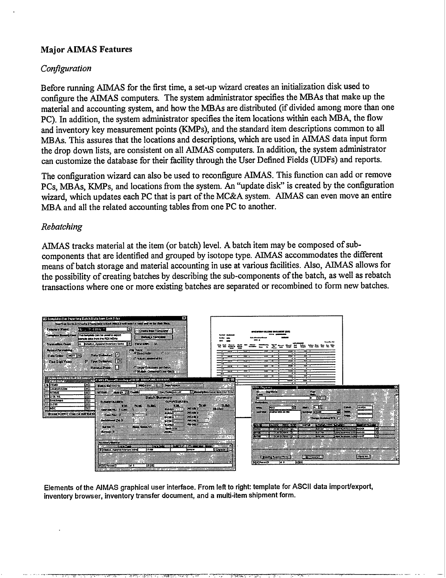#### **Major AIMAS Features**

#### *Con)guration*

Before running AIMAS for the first time, a set-up wizard creates an initialization disk used to configure the AIMAS computers. The system administrator specifies the MBAs that make up the material and accounting system, and how the MBAs are distributed (if divided among more than one PC). In addition, the system administrator specifies the item locations within each MBA, the flow and inventory key measurement points (KMPs), and the standard item descriptions common to all MBAs. This assures that the locations and descriptions, which are used in AIMAS data input form the drop down lists, are consistent on all AIMAS computers. In addition, the system administrator can customize the database for their facility through the User Defined Fields (UDFs) and reports.

The configuration wizard can also be used to reconfigure AIMAS. This finction can add or remove PCs, MBAs, KMPs, and locations from the system. An "update disk" is created by the configuration wizard, which updates each PC that is part of the MC&A system. AIMAS can even move an entire MBA and all the related accounting tables from one PC to another.

#### *Rematching*

*AIMAS* tracks material at the item (or batch) level. A batch item maybe composed of subcomponents that are identified and grouped by isotope type. AIMAS accommodates the dfierent means of batch storage and material accounting in use at various facilities. Also, AIMAS allows for the possibility of creating batches by describing the sub-components of the batch, as well as rebatch transactions where one or more existing batches are separated or recombined to form new batches.



**Elements of the AIMAS graphical user interface. From left to right template for ASCII data import/export, inventory browser, inventory transfer document, and a multi-item shipment form.**

.,, .,,,., ..,,. .7.=. ., .,.4 .,, t' . . . . . . . ,.. U-;.-, . . . . . . . . . ->,

..-— —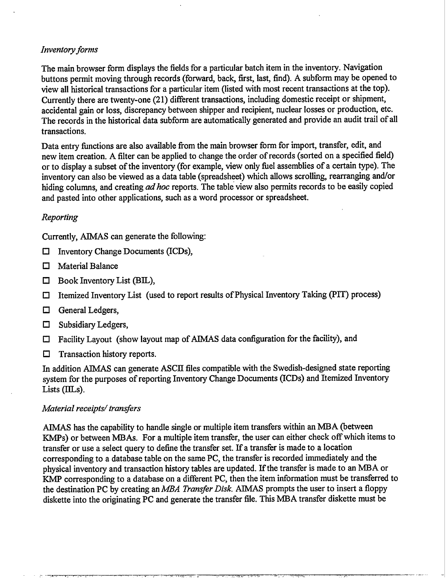#### *Inventory forms*

The main browser form displays the fields for a particular batch item in the inventory. Navigation buttons permit moving through records (forward, back first, last, find). A subform may be opened to view all historical transactions for a particular item (listed with most recent transactions at the top). Currently there are twenty-one (21) different transactions, including domestic receipt or shipment, accidental gain or loss, discrepancy between shipper and recipient, nuclear losses or production, etc. The records in the historical data subform are automatically generated and provide an audit trail of all transactions.

Data entry finctions are also available from the main browser form for import, transfer, edit, and new item creation. A filter can be applied to change the order of records (sorted on a specified field) or to display a subset of the inventory (for example, view only fiel assemblies of a certain type). The inventory can also be viewed as a data table (spreadsheet) which allows scrolling, rearranging and/or hiding columns, and creating *ad hoc* reports. The table view also permits records to be easily copied and pasted into other applications, such as a word processor or spreadsheet.

#### *Reporting*

Currently, AIMAS can generate the following:

- $\Box$  Inventory Change Documents (ICDs),
- El Material Balance
- $\Box$  Book Inventory List (BIL),
- $\Box$  Itemized Inventory List (used to report results of Physical Inventory Taking (PIT) process)
- El General Ledgers,
- $\Box$  Subsidiary Ledgers,
- $\Box$  Facility Layout (show layout map of AIMAS data configuration for the facility), and
- ❑ Transaction history reports.

In addition AIMAS can generate ASCII files compatible with the Swedish-designed state reporting system for the purposes of reporting Inventory Change Documents (ICDS) and Itemized Inventory Lists (IILs).

#### *Material receipts/ transfers*

AIMAS has the capability to handle single or multiple item transfers within an MBA (between KMPs) or between MBAs. For a multiple item transfer, the user can either check off which items to transfer or use a select query to define the transfer set. If a transfer is made to a location corresponding to a database table on the same PC, the transfer is recorded immediately and the physical inventory and transaction history tables are updated. If the transfer is made to an MBA or KMP corresponding to a database on a different PC, then the item information must be transferred to the destination PC by creating an MBA *Transfer Disk*. AIMAS prompts the user to insert a floppy diskette into the originating PC and generate the transfer file. This MBA transfer diskette must be

—.<sub>.</sub>…… |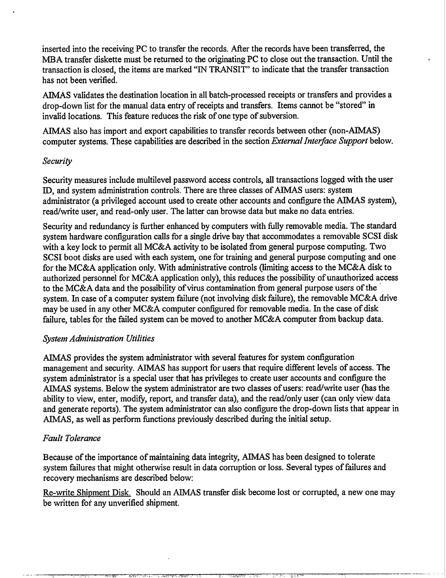inserted into the receiving PC to transfer the records. After the records have been transferred, the MBA transfer diskette must be returned to the originating PC to close out the transaction. Until the transaction is closed, the items are marked "IN TRANSIT" to indicate that the transfer transaction has not been verified.

AIMAS validates the destination location in all batch-processed receipts or transfers and provides a drop-down list for the manual data entry of receipts and transfers. Items cannot be "stored" in invalid locations. This feature reduces the risk of one type of subversion.

ATMAS also has import and export capabilities to transfer records between other (non-AIMAS) computer systems. These capabilities are described in the section *Ektemal Interface Support* below.

#### *Security*

Security measures include multilevel password access controls, all transactions logged with the user ID, and system administration controls. There are three classes of AIMAS users: system administrator (a privileged account used to create other accounts and configure the AIMAS system), read/write user, and read-only user. The latter can browse data but make no data entries.

Security and redundancy is further enhanced by computers with fully removable media. The standard system hardware configuration calls for a single drive bay that accommodates a removable SCSI disk with a key lock to permit all MC&A activity to be isolated from general purpose computing. Two SCSI boot disks are used with each system, one for training and general purpose computing and one for the MC&A application only. With administrative controls (limiting access to the MC&A disk to authorized personnel for MC&A application only), this reduces the possibility of unauthorized access to the MC&A data and the possibility of virus contamination from general purpose users of the system. In case of a computer system failure (not involving disk failure), the removable MC&A drive may be used in any other MC&A computer configured for removable media. In the case of disk failure, tables for the failed system can be moved to another MC&A computer from backup data.

#### *System Administration Utilities*

AIMAS provides the system administrator with several features for system configuration management and security. AIMAS has support for users that require different levels of access. The system administrator is a special user that has privileges to create user accounts and configure the AIMAS systems. Below the system administrator are two classes of users: read/write user (has the ability to view, enter, modify, report, and transfer data), and the read/only user (can only view data and generate reports). The system administrator can also configure the drop-down lists that appear in AIMAS, as well as perform fimctions previously described during the initial setup.

#### *Fault Tolerance*

Because of the importance of maintaining data integrity, AIMAS has been designed to tolerate system failures that might otherwise result in data corruption or loss. Several types of failures and recovery mechanisms are described below:

Re-write Shipment Disk. Should an AIMAS transfer disk become lost or corrupted, a new one may be written for any unverified shipment.

 $-$  . The construction of the construction  $\mathcal{L}_\mathbf{r}$ 

,, !.,, >,, >".. . . . . . . ., . .' /.,.< ... r:.,... <sup>i</sup> -r---c.. <sup>k</sup> ..-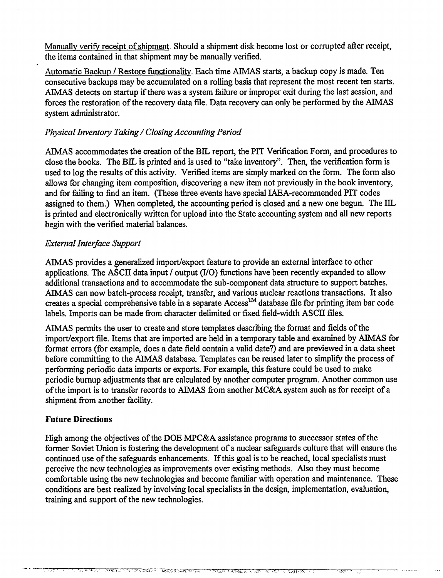Manually verify receipt of shipment. Should a shipment disk become lost or corrupted after receipt, the items contained in that shipment maybe manually verified.

Automatic Backup / Restore functionality. Each time AIMAS starts, a backup copy is made. Ten consecutive backups may be accumulated on a rolling basis that represent the most recent ten starts. AIMAS detects on startup if there was a system failure or improper exit during the last session, and forces the restoration of the recovery data file. Data recovery can only be performed by the AIMAS system administrator.

#### *Physical Inventory Taking/ Closing Accounting Period*

AIMAS accommodates the creation of the BIL report, the PIT Verification Form, and procedures to close the books. The BIL is printed and is used to "take inventory". Then, the verification form is used to log the results of this activity. Verified items are simply marked on the form. The form also allows for changing item composition, discovering a new item not previously in the book inventory, and for failing to find an item. (These three events have special IAEA-recommended PIT codes assigned to them.) When completed, the accounting period is closed and a new one begun. The IIL is printed and electronically written for upload into the State accounting system and all new reports begin with the verified material balances.

#### *External Interface Support*

AIMAS provides a generalized import/export feature to provide an external interface to other applications. The ASCII data input / output (1/0) fimctions have been recently expanded to allow additional transactions and to accommodate the sub-component data structure to support batches. AIMAS can now batch-process receipt, transfer, and various nuclear reactions transactions. It also creates a special comprehensive table in a separate  $\Lambda$ ccess<sup>TM</sup> database file for printing item bar code labels, Imports can be made from character delimited or fixed field-width ASCII files.

AIMAS permits the user to create and store templates describing the format and fields of the import/export file. Items that are imported are held in a temporary table and examined by AIMAS for format errors (for example, does a date field contain a valid date?) and are previewed in a data sheet before committing to the AIMAS database. Templates can be reused later to simplify the process of petiorming periodic data imports or exports. For example, this feature could be used to make periodic bumup adjustments that are calculated by another computer program. Another common use of the import is to transfer records to AIMAS from another MC&A system such as for receipt of a shipment from another facility.

#### **Future Directions**

High among the objectives of the DOE MPC&A assistance programs to successor states of the former Soviet Union is fostering the development of a nuclear safeguards culture that will ensure the continued use of the safeguards enhancements. If this goal is to be reached, local specialists must perceive the new technologies as improvements over existing methods. Also they must become comfortable using the new technologies and become familiar with operation and maintenance. These conditions are best realized by involving local specialists in the design, implementation, evaluation, training and support of the new technologies.

Wasterday